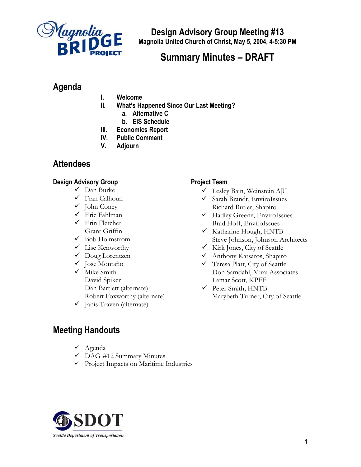

**Design Advisory Group Meeting #13 Magnolia United Church of Christ, May 5, 2004, 4-5:30 PM**

## **Summary Minutes – DRAFT**

## **Agenda**

- **I. Welcome**
- **II. What's Happened Since Our Last Meeting?** 
	- **a. Alternative C** 
		- **b. EIS Schedule**
- **III. Economics Report**
- **IV. Public Comment**
- **V. Adjourn**

### **Attendees**

#### **Design Advisory Group**

- $\checkmark$  Dan Burke
- $\checkmark$  Fran Calhoun
- $\checkmark$  John Coney
- $\checkmark$  Eric Fahlman
- $\checkmark$  Erin Fletcher Grant Griffin
- $\checkmark$  Bob Holmstrom
- $\checkmark$  Lise Kenworthy
- $\checkmark$  Doug Lorentzen
- $\checkmark$  Jose Montaño
- $\checkmark$  Mike Smith David Spiker Dan Bartlett (alternate) Robert Foxworthy (alternate)
- $\checkmark$  Janis Traven (alternate)

#### **Project Team**

- $\checkmark$  Lesley Bain, Weinstein A|U
- $\checkmark$  Sarah Brandt, EnviroIssues Richard Butler, Shapiro
- 9 Hadley Greene, EnviroIssues Brad Hoff, EnviroIssues
- $\checkmark$  Katharine Hough, HNTB Steve Johnson, Johnson Architects
- $\checkmark$  Kirk Jones, City of Seattle
- 9 Anthony Katsaros, Shapiro
- $\checkmark$  Teresa Platt, City of Seattle Don Samdahl, Mirai Associates Lamar Scott, KPFF
- $\checkmark$  Peter Smith, HNTB Marybeth Turner, City of Seattle

 $\checkmark$  Agenda

**Meeting Handouts** 

- $\checkmark$  DAG #12 Summary Minutes
- $\checkmark$  Project Impacts on Maritime Industries

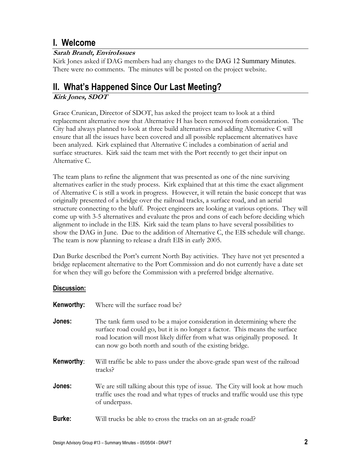## **I. Welcome**

#### **Sarah Brandt, EnviroIssues**

Kirk Jones asked if DAG members had any changes to the DAG 12 Summary Minutes. There were no comments. The minutes will be posted on the project website.

# **II. What's Happened Since Our Last Meeting?**

#### **Kirk Jones, SDOT**

Grace Crunican, Director of SDOT, has asked the project team to look at a third replacement alternative now that Alternative H has been removed from consideration. The City had always planned to look at three build alternatives and adding Alternative C will ensure that all the issues have been covered and all possible replacement alternatives have been analyzed. Kirk explained that Alternative C includes a combination of aerial and surface structures. Kirk said the team met with the Port recently to get their input on Alternative C.

The team plans to refine the alignment that was presented as one of the nine surviving alternatives earlier in the study process. Kirk explained that at this time the exact alignment of Alternative C is still a work in progress. However, it will retain the basic concept that was originally presented of a bridge over the railroad tracks, a surface road, and an aerial structure connecting to the bluff. Project engineers are looking at various options. They will come up with 3-5 alternatives and evaluate the pros and cons of each before deciding which alignment to include in the EIS. Kirk said the team plans to have several possibilities to show the DAG in June. Due to the addition of Alternative C, the EIS schedule will change. The team is now planning to release a draft EIS in early 2005.

Dan Burke described the Port's current North Bay activities. They have not yet presented a bridge replacement alternative to the Port Commission and do not currently have a date set for when they will go before the Commission with a preferred bridge alternative.

#### **Discussion:**

| Kenworthy:    | Where will the surface road be?                                                                                                                                                                                                                                                                  |
|---------------|--------------------------------------------------------------------------------------------------------------------------------------------------------------------------------------------------------------------------------------------------------------------------------------------------|
| Jones:        | The tank farm used to be a major consideration in determining where the<br>surface road could go, but it is no longer a factor. This means the surface<br>road location will most likely differ from what was originally proposed. It<br>can now go both north and south of the existing bridge. |
| Kenworthy:    | Will traffic be able to pass under the above-grade span west of the railroad<br>tracks?                                                                                                                                                                                                          |
| Jones:        | We are still talking about this type of issue. The City will look at how much<br>traffic uses the road and what types of trucks and traffic would use this type<br>of underpass.                                                                                                                 |
| <b>Burke:</b> | Will trucks be able to cross the tracks on an at-grade road?                                                                                                                                                                                                                                     |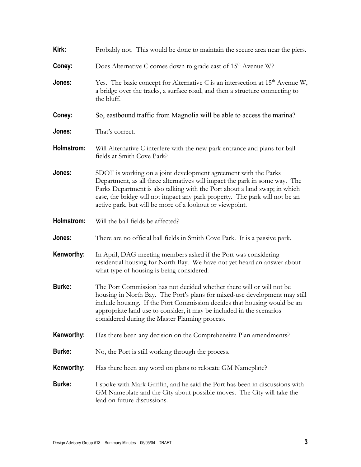| Kirk:         | Probably not. This would be done to maintain the secure area near the piers.                                                                                                                                                                                                                                                                                            |
|---------------|-------------------------------------------------------------------------------------------------------------------------------------------------------------------------------------------------------------------------------------------------------------------------------------------------------------------------------------------------------------------------|
| Coney:        | Does Alternative C comes down to grade east of 15 <sup>th</sup> Avenue W?                                                                                                                                                                                                                                                                                               |
| Jones:        | Yes. The basic concept for Alternative C is an intersection at $15th$ Avenue W,<br>a bridge over the tracks, a surface road, and then a structure connecting to<br>the bluff.                                                                                                                                                                                           |
| Coney:        | So, eastbound traffic from Magnolia will be able to access the marina?                                                                                                                                                                                                                                                                                                  |
| Jones:        | That's correct.                                                                                                                                                                                                                                                                                                                                                         |
| Holmstrom:    | Will Alternative C interfere with the new park entrance and plans for ball<br>fields at Smith Cove Park?                                                                                                                                                                                                                                                                |
| Jones:        | SDOT is working on a joint development agreement with the Parks<br>Department, as all three alternatives will impact the park in some way. The<br>Parks Department is also talking with the Port about a land swap; in which<br>case, the bridge will not impact any park property. The park will not be an<br>active park, but will be more of a lookout or viewpoint. |
| Holmstrom:    | Will the ball fields be affected?                                                                                                                                                                                                                                                                                                                                       |
| Jones:        | There are no official ball fields in Smith Cove Park. It is a passive park.                                                                                                                                                                                                                                                                                             |
| Kenworthy:    | In April, DAG meeting members asked if the Port was considering<br>residential housing for North Bay. We have not yet heard an answer about<br>what type of housing is being considered.                                                                                                                                                                                |
| <b>Burke:</b> | The Port Commission has not decided whether there will or will not be<br>housing in North Bay. The Port's plans for mixed-use development may still<br>include housing. If the Port Commission decides that housing would be an<br>appropriate land use to consider, it may be included in the scenarios<br>considered during the Master Planning process.              |
| Kenworthy:    | Has there been any decision on the Comprehensive Plan amendments?                                                                                                                                                                                                                                                                                                       |
| <b>Burke:</b> | No, the Port is still working through the process.                                                                                                                                                                                                                                                                                                                      |
| Kenworthy:    | Has there been any word on plans to relocate GM Nameplate?                                                                                                                                                                                                                                                                                                              |
| <b>Burke:</b> | I spoke with Mark Griffin, and he said the Port has been in discussions with<br>GM Nameplate and the City about possible moves. The City will take the<br>lead on future discussions.                                                                                                                                                                                   |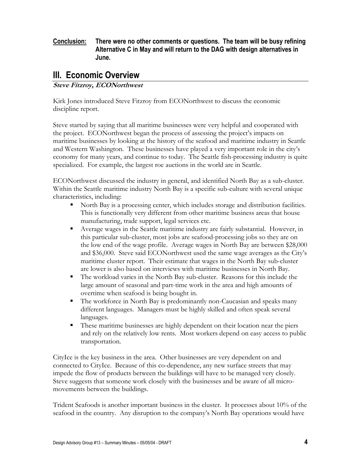#### **Conclusion: There were no other comments or questions. The team will be busy refining Alternative C in May and will return to the DAG with design alternatives in June.**

## **III. Economic Overview**

#### **Steve Fitzroy, ECONorthwest**

Kirk Jones introduced Steve Fitzroy from ECONorthwest to discuss the economic discipline report.

Steve started by saying that all maritime businesses were very helpful and cooperated with the project. ECONorthwest began the process of assessing the project's impacts on maritime businesses by looking at the history of the seafood and maritime industry in Seattle and Western Washington. These businesses have played a very important role in the city's economy for many years, and continue to today. The Seattle fish-processing industry is quite specialized. For example, the largest roe auctions in the world are in Seattle.

ECONorthwest discussed the industry in general, and identified North Bay as a sub-cluster. Within the Seattle maritime industry North Bay is a specific sub-culture with several unique characteristics, including:

- North Bay is a processing center, which includes storage and distribution facilities. This is functionally very different from other maritime business areas that house manufacturing, trade support, legal services etc.
- Average wages in the Seattle maritime industry are fairly substantial. However, in this particular sub-cluster, most jobs are seafood-processing jobs so they are on the low end of the wage profile. Average wages in North Bay are between \$28,000 and \$36,000. Steve said ECONorthwest used the same wage averages as the City's maritime cluster report. Their estimate that wages in the North Bay sub-cluster are lower is also based on interviews with maritime businesses in North Bay.
- The workload varies in the North Bay sub-cluster. Reasons for this include the large amount of seasonal and part-time work in the area and high amounts of overtime when seafood is being bought in.
- The workforce in North Bay is predominantly non-Caucasian and speaks many different languages. Managers must be highly skilled and often speak several languages.
- These maritime businesses are highly dependent on their location near the piers and rely on the relatively low rents. Most workers depend on easy access to public transportation.

CityIce is the key business in the area. Other businesses are very dependent on and connected to CityIce. Because of this co-dependence, any new surface streets that may impede the flow of products between the buildings will have to be managed very closely. Steve suggests that someone work closely with the businesses and be aware of all micromovements between the buildings.

Trident Seafoods is another important business in the cluster. It processes about 10% of the seafood in the country. Any disruption to the company's North Bay operations would have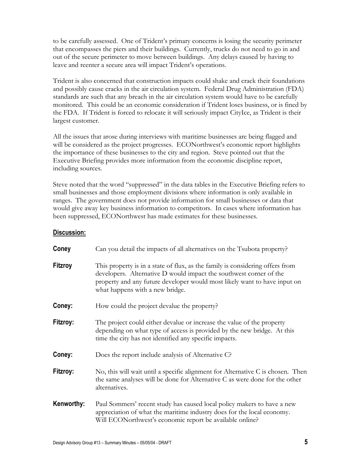to be carefully assessed. One of Trident's primary concerns is losing the security perimeter that encompasses the piers and their buildings. Currently, trucks do not need to go in and out of the secure perimeter to move between buildings. Any delays caused by having to leave and reenter a secure area will impact Trident's operations.

Trident is also concerned that construction impacts could shake and crack their foundations and possibly cause cracks in the air circulation system. Federal Drug Administration (FDA) standards are such that any breach in the air circulation system would have to be carefully monitored. This could be an economic consideration if Trident loses business, or is fined by the FDA. If Trident is forced to relocate it will seriously impact CityIce, as Trident is their largest customer.

All the issues that arose during interviews with maritime businesses are being flagged and will be considered as the project progresses. ECONorthwest's economic report highlights the importance of these businesses to the city and region. Steve pointed out that the Executive Briefing provides more information from the economic discipline report, including sources.

Steve noted that the word "suppressed" in the data tables in the Executive Briefing refers to small businesses and those employment divisions where information is only available in ranges. The government does not provide information for small businesses or data that would give away key business information to competitors. In cases where information has been suppressed, ECONorthwest has made estimates for these businesses.

#### **Discussion:**

| Coney          | Can you detail the impacts of all alternatives on the Tsubota property?                                                                                                                                                                                             |
|----------------|---------------------------------------------------------------------------------------------------------------------------------------------------------------------------------------------------------------------------------------------------------------------|
| <b>Fitzroy</b> | This property is in a state of flux, as the family is considering offers from<br>developers. Alternative D would impact the southwest corner of the<br>property and any future developer would most likely want to have input on<br>what happens with a new bridge. |
| Coney:         | How could the project devalue the property?                                                                                                                                                                                                                         |
| Fitzroy:       | The project could either devalue or increase the value of the property<br>depending on what type of access is provided by the new bridge. At this<br>time the city has not identified any specific impacts.                                                         |
| Coney:         | Does the report include analysis of Alternative C?                                                                                                                                                                                                                  |
| Fitzroy:       | No, this will wait until a specific alignment for Alternative C is chosen. Then<br>the same analyses will be done for Alternative C as were done for the other<br>alternatives.                                                                                     |
| Kenworthy:     | Paul Sommers' recent study has caused local policy makers to have a new<br>appreciation of what the maritime industry does for the local economy.<br>Will ECONorthwest's economic report be available online?                                                       |